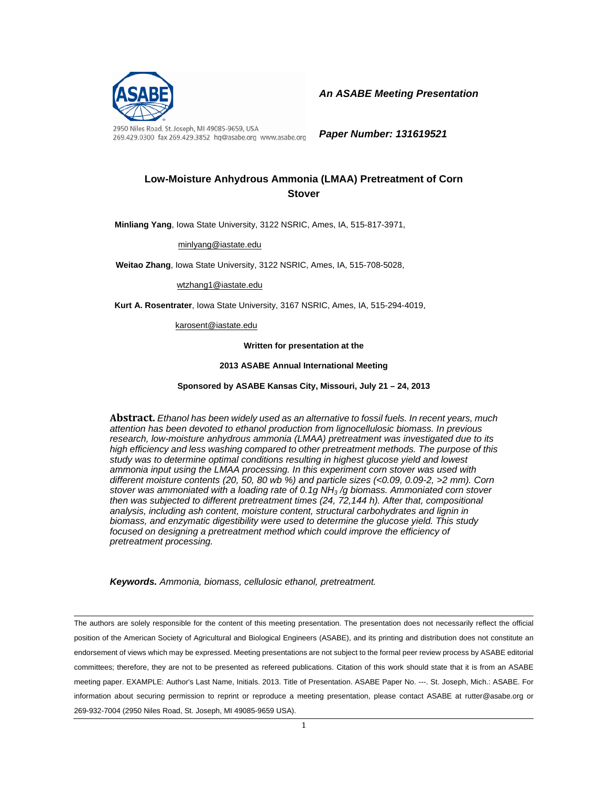

2950 Niles Road, St. Joseph, MI 49085-9659, USA 269.429.0300 fax 269.429.3852 hq@asabe.org www.asabe.org *An ASABE Meeting Presentation* 

*Paper Number: 131619521* 

## **Low-Moisture Anhydrous Ammonia (LMAA) Pretreatment of Corn Stover**

**Minliang Yang**, Iowa State University, 3122 NSRIC, Ames, IA, 515-817-3971,

minlyang@iastate.edu

**Weitao Zhang**, Iowa State University, 3122 NSRIC, Ames, IA, 515-708-5028,

wtzhang1@iastate.edu

**Kurt A. Rosentrater**, Iowa State University, 3167 NSRIC, Ames, IA, 515-294-4019,

karosent@iastate.edu

**Written for presentation at the** 

**2013 ASABE Annual International Meeting** 

**Sponsored by ASABE Kansas City, Missouri, July 21 – 24, 2013** 

**Abstract.** *Ethanol has been widely used as an alternative to fossil fuels. In recent years, much attention has been devoted to ethanol production from lignocellulosic biomass. In previous research, low-moisture anhydrous ammonia (LMAA) pretreatment was investigated due to its high efficiency and less washing compared to other pretreatment methods. The purpose of this study was to determine optimal conditions resulting in highest glucose yield and lowest ammonia input using the LMAA processing. In this experiment corn stover was used with different moisture contents (20, 50, 80 wb %) and particle sizes (<0.09, 0.09-2, >2 mm). Corn stover was ammoniated with a loading rate of 0.1g NH3 /g biomass. Ammoniated corn stover then was subjected to different pretreatment times (24, 72,144 h). After that, compositional analysis, including ash content, moisture content, structural carbohydrates and lignin in biomass, and enzymatic digestibility were used to determine the glucose yield. This study focused on designing a pretreatment method which could improve the efficiency of pretreatment processing.*

*Keywords. Ammonia, biomass, cellulosic ethanol, pretreatment.* 

The authors are solely responsible for the content of this meeting presentation. The presentation does not necessarily reflect the official position of the American Society of Agricultural and Biological Engineers (ASABE), and its printing and distribution does not constitute an endorsement of views which may be expressed. Meeting presentations are not subject to the formal peer review process by ASABE editorial committees; therefore, they are not to be presented as refereed publications. Citation of this work should state that it is from an ASABE meeting paper. EXAMPLE: Author's Last Name, Initials. 2013. Title of Presentation. ASABE Paper No. ---. St. Joseph, Mich.: ASABE. For information about securing permission to reprint or reproduce a meeting presentation, please contact ASABE at rutter@asabe.org or 269-932-7004 (2950 Niles Road, St. Joseph, MI 49085-9659 USA).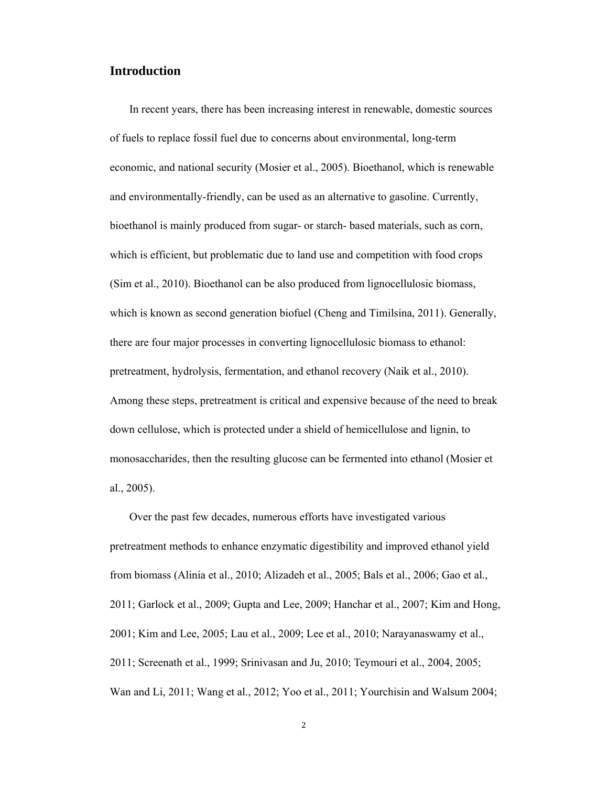## **Introduction**

In recent years, there has been increasing interest in renewable, domestic sources of fuels to replace fossil fuel due to concerns about environmental, long-term economic, and national security (Mosier et al., 2005). Bioethanol, which is renewable and environmentally-friendly, can be used as an alternative to gasoline. Currently, bioethanol is mainly produced from sugar- or starch- based materials, such as corn, which is efficient, but problematic due to land use and competition with food crops (Sim et al., 2010). Bioethanol can be also produced from lignocellulosic biomass, which is known as second generation biofuel (Cheng and Timilsina, 2011). Generally, there are four major processes in converting lignocellulosic biomass to ethanol: pretreatment, hydrolysis, fermentation, and ethanol recovery (Naik et al., 2010). Among these steps, pretreatment is critical and expensive because of the need to break down cellulose, which is protected under a shield of hemicellulose and lignin, to monosaccharides, then the resulting glucose can be fermented into ethanol (Mosier et al., 2005).

Over the past few decades, numerous efforts have investigated various pretreatment methods to enhance enzymatic digestibility and improved ethanol yield from biomass (Alinia et al., 2010; Alizadeh et al., 2005; Bals et al., 2006; Gao et al., 2011; Garlock et al., 2009; Gupta and Lee, 2009; Hanchar et al., 2007; Kim and Hong, 2001; Kim and Lee, 2005; Lau et al., 2009; Lee et al., 2010; Narayanaswamy et al., 2011; Screenath et al., 1999; Srinivasan and Ju, 2010; Teymouri et al., 2004, 2005; Wan and Li, 2011; Wang et al., 2012; Yoo et al., 2011; Yourchisin and Walsum 2004;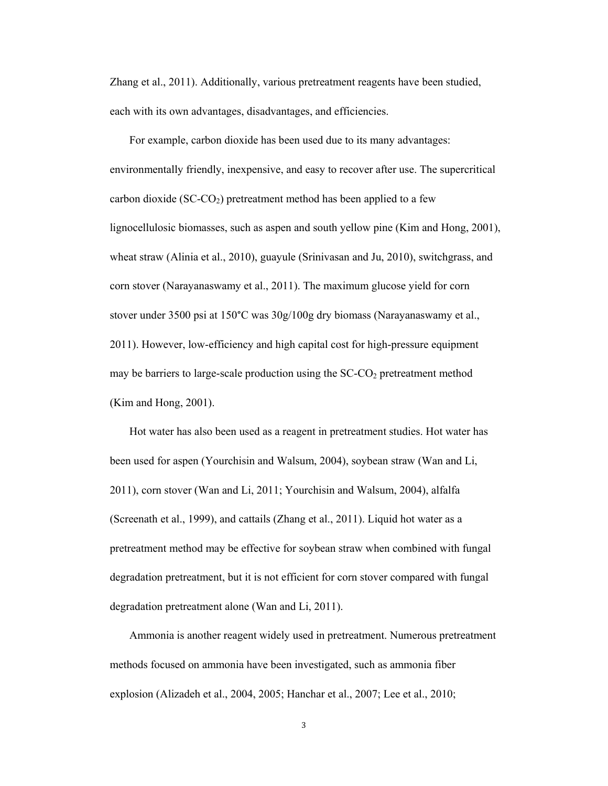Zhang et al., 2011). Additionally, various pretreatment reagents have been studied, each with its own advantages, disadvantages, and efficiencies.

For example, carbon dioxide has been used due to its many advantages: environmentally friendly, inexpensive, and easy to recover after use. The supercritical carbon dioxide ( $SC-CO<sub>2</sub>$ ) pretreatment method has been applied to a few lignocellulosic biomasses, such as aspen and south yellow pine (Kim and Hong, 2001), wheat straw (Alinia et al., 2010), guayule (Srinivasan and Ju, 2010), switchgrass, and corn stover (Narayanaswamy et al., 2011). The maximum glucose yield for corn stover under 3500 psi at 150°C was 30g/100g dry biomass (Narayanaswamy et al., 2011). However, low-efficiency and high capital cost for high-pressure equipment may be barriers to large-scale production using the  $SC\text{-}CO<sub>2</sub>$  pretreatment method (Kim and Hong, 2001).

Hot water has also been used as a reagent in pretreatment studies. Hot water has been used for aspen (Yourchisin and Walsum, 2004), soybean straw (Wan and Li, 2011), corn stover (Wan and Li, 2011; Yourchisin and Walsum, 2004), alfalfa (Screenath et al., 1999), and cattails (Zhang et al., 2011). Liquid hot water as a pretreatment method may be effective for soybean straw when combined with fungal degradation pretreatment, but it is not efficient for corn stover compared with fungal degradation pretreatment alone (Wan and Li, 2011).

Ammonia is another reagent widely used in pretreatment. Numerous pretreatment methods focused on ammonia have been investigated, such as ammonia fiber explosion (Alizadeh et al., 2004, 2005; Hanchar et al., 2007; Lee et al., 2010;

3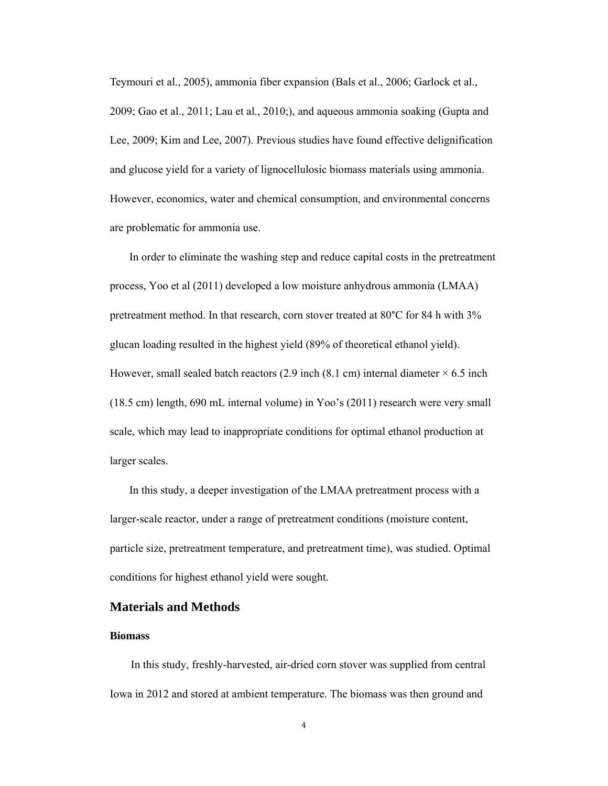Teymouri et al., 2005), ammonia fiber expansion (Bals et al., 2006; Garlock et al., 2009; Gao et al., 2011; Lau et al., 2010;), and aqueous ammonia soaking (Gupta and Lee, 2009; Kim and Lee, 2007). Previous studies have found effective delignification and glucose yield for a variety of lignocellulosic biomass materials using ammonia. However, economics, water and chemical consumption, and environmental concerns are problematic for ammonia use.

In order to eliminate the washing step and reduce capital costs in the pretreatment process, Yoo et al (2011) developed a low moisture anhydrous ammonia (LMAA) pretreatment method. In that research, corn stover treated at 80°C for 84 h with 3% glucan loading resulted in the highest yield (89% of theoretical ethanol yield). However, small sealed batch reactors  $(2.9 \text{ inch } (8.1 \text{ cm}))$  internal diameter  $\times 6.5 \text{ inch}$ (18.5 cm) length, 690 mL internal volume) in Yoo's (2011) research were very small scale, which may lead to inappropriate conditions for optimal ethanol production at larger scales.

In this study, a deeper investigation of the LMAA pretreatment process with a larger-scale reactor, under a range of pretreatment conditions (moisture content, particle size, pretreatment temperature, and pretreatment time), was studied. Optimal conditions for highest ethanol yield were sought.

### **Materials and Methods**

#### **Biomass**

In this study, freshly-harvested, air-dried corn stover was supplied from central Iowa in 2012 and stored at ambient temperature. The biomass was then ground and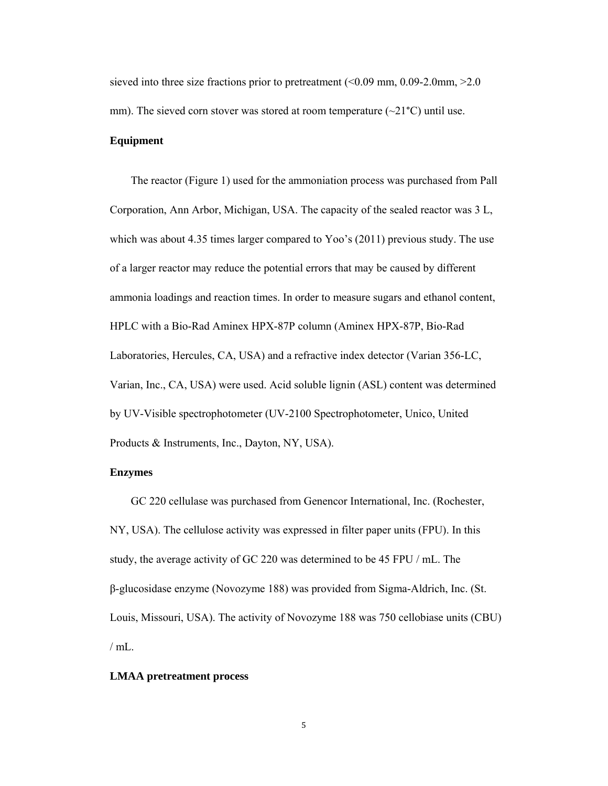sieved into three size fractions prior to pretreatment (<0.09 mm, 0.09-2.0mm, >2.0 mm). The sieved corn stover was stored at room temperature  $(\sim 21^{\circ}C)$  until use.

#### **Equipment**

The reactor (Figure 1) used for the ammoniation process was purchased from Pall Corporation, Ann Arbor, Michigan, USA. The capacity of the sealed reactor was 3 L, which was about 4.35 times larger compared to Yoo's (2011) previous study. The use of a larger reactor may reduce the potential errors that may be caused by different ammonia loadings and reaction times. In order to measure sugars and ethanol content, HPLC with a Bio-Rad Aminex HPX-87P column (Aminex HPX-87P, Bio-Rad Laboratories, Hercules, CA, USA) and a refractive index detector (Varian 356-LC, Varian, Inc., CA, USA) were used. Acid soluble lignin (ASL) content was determined by UV-Visible spectrophotometer (UV-2100 Spectrophotometer, Unico, United Products & Instruments, Inc., Dayton, NY, USA).

#### **Enzymes**

GC 220 cellulase was purchased from Genencor International, Inc. (Rochester, NY, USA). The cellulose activity was expressed in filter paper units (FPU). In this study, the average activity of GC 220 was determined to be 45 FPU / mL. The β-glucosidase enzyme (Novozyme 188) was provided from Sigma-Aldrich, Inc. (St. Louis, Missouri, USA). The activity of Novozyme 188 was 750 cellobiase units (CBU)  $/$  mL.

#### **LMAA pretreatment process**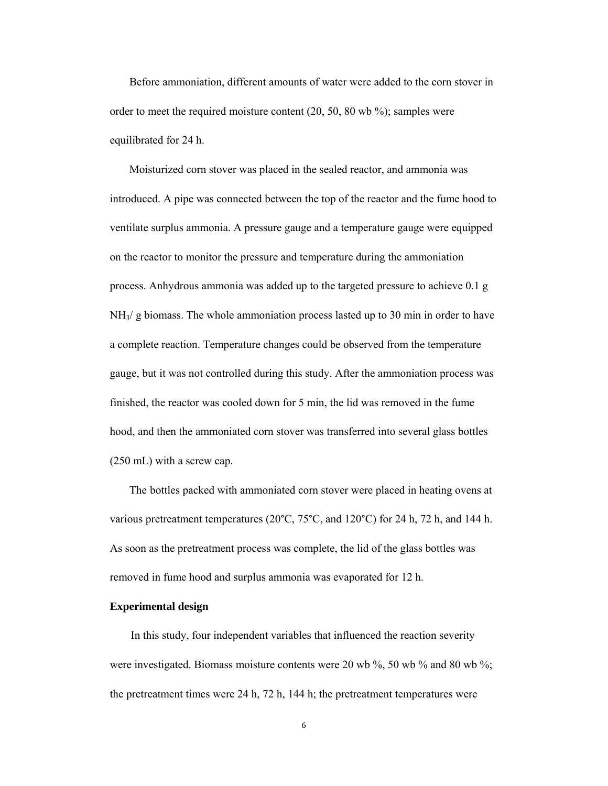Before ammoniation, different amounts of water were added to the corn stover in order to meet the required moisture content (20, 50, 80 wb %); samples were equilibrated for 24 h.

Moisturized corn stover was placed in the sealed reactor, and ammonia was introduced. A pipe was connected between the top of the reactor and the fume hood to ventilate surplus ammonia. A pressure gauge and a temperature gauge were equipped on the reactor to monitor the pressure and temperature during the ammoniation process. Anhydrous ammonia was added up to the targeted pressure to achieve 0.1 g NH3/ g biomass. The whole ammoniation process lasted up to 30 min in order to have a complete reaction. Temperature changes could be observed from the temperature gauge, but it was not controlled during this study. After the ammoniation process was finished, the reactor was cooled down for 5 min, the lid was removed in the fume hood, and then the ammoniated corn stover was transferred into several glass bottles (250 mL) with a screw cap.

The bottles packed with ammoniated corn stover were placed in heating ovens at various pretreatment temperatures (20°C, 75°C, and 120°C) for 24 h, 72 h, and 144 h. As soon as the pretreatment process was complete, the lid of the glass bottles was removed in fume hood and surplus ammonia was evaporated for 12 h.

#### **Experimental design**

In this study, four independent variables that influenced the reaction severity were investigated. Biomass moisture contents were 20 wb %, 50 wb % and 80 wb %; the pretreatment times were 24 h, 72 h, 144 h; the pretreatment temperatures were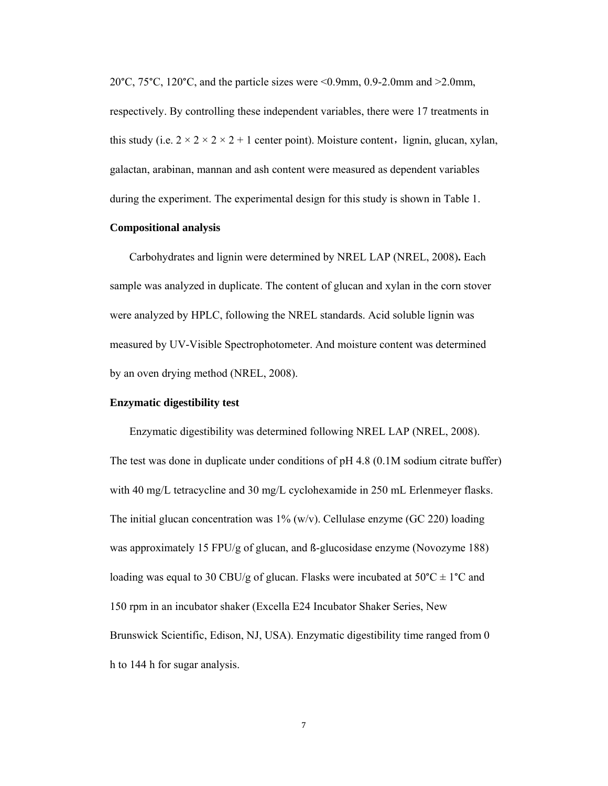20°C, 75°C, 120°C, and the particle sizes were <0.9mm, 0.9-2.0mm and >2.0mm, respectively. By controlling these independent variables, there were 17 treatments in this study (i.e.  $2 \times 2 \times 2 \times 2 + 1$  center point). Moisture content, lignin, glucan, xylan, galactan, arabinan, mannan and ash content were measured as dependent variables during the experiment. The experimental design for this study is shown in Table 1.

#### **Compositional analysis**

Carbohydrates and lignin were determined by NREL LAP (NREL, 2008)**.** Each sample was analyzed in duplicate. The content of glucan and xylan in the corn stover were analyzed by HPLC, following the NREL standards. Acid soluble lignin was measured by UV-Visible Spectrophotometer. And moisture content was determined by an oven drying method (NREL, 2008).

#### **Enzymatic digestibility test**

Enzymatic digestibility was determined following NREL LAP (NREL, 2008). The test was done in duplicate under conditions of pH 4.8 (0.1M sodium citrate buffer) with 40 mg/L tetracycline and 30 mg/L cyclohexamide in 250 mL Erlenmeyer flasks. The initial glucan concentration was  $1\%$  (w/v). Cellulase enzyme (GC 220) loading was approximately 15 FPU/g of glucan, and ß-glucosidase enzyme (Novozyme 188) loading was equal to 30 CBU/g of glucan. Flasks were incubated at  $50^{\circ}C \pm 1^{\circ}C$  and 150 rpm in an incubator shaker (Excella E24 Incubator Shaker Series, New Brunswick Scientific, Edison, NJ, USA). Enzymatic digestibility time ranged from 0 h to 144 h for sugar analysis.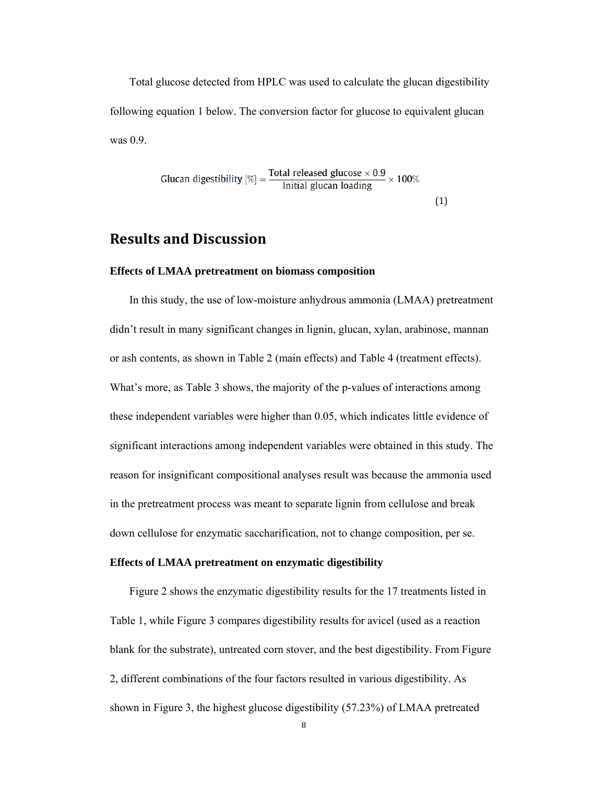Total glucose detected from HPLC was used to calculate the glucan digestibility following equation 1 below. The conversion factor for glucose to equivalent glucan was 0.9.

Glucan digestibility 
$$
[\%]
$$
 =  $\frac{\text{Total released glucose} \times 0.9}{\text{Initial glucan loading}} \times 100\%$  (1)

# **Results and Discussion**

#### **Effects of LMAA pretreatment on biomass composition**

In this study, the use of low-moisture anhydrous ammonia (LMAA) pretreatment didn't result in many significant changes in lignin, glucan, xylan, arabinose, mannan or ash contents, as shown in Table 2 (main effects) and Table 4 (treatment effects). What's more, as Table 3 shows, the majority of the p-values of interactions among these independent variables were higher than 0.05, which indicates little evidence of significant interactions among independent variables were obtained in this study. The reason for insignificant compositional analyses result was because the ammonia used in the pretreatment process was meant to separate lignin from cellulose and break down cellulose for enzymatic saccharification, not to change composition, per se.

#### **Effects of LMAA pretreatment on enzymatic digestibility**

Figure 2 shows the enzymatic digestibility results for the 17 treatments listed in Table 1, while Figure 3 compares digestibility results for avicel (used as a reaction blank for the substrate), untreated corn stover, and the best digestibility. From Figure 2, different combinations of the four factors resulted in various digestibility. As shown in Figure 3, the highest glucose digestibility (57.23%) of LMAA pretreated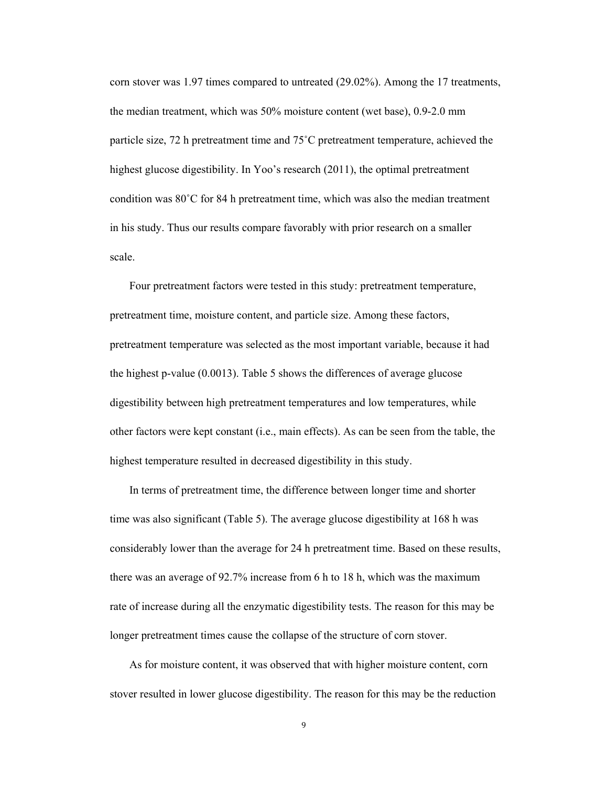corn stover was 1.97 times compared to untreated (29.02%). Among the 17 treatments, the median treatment, which was 50% moisture content (wet base), 0.9-2.0 mm particle size, 72 h pretreatment time and 75˚C pretreatment temperature, achieved the highest glucose digestibility. In Yoo's research (2011), the optimal pretreatment condition was  $80^{\circ}$ C for 84 h pretreatment time, which was also the median treatment in his study. Thus our results compare favorably with prior research on a smaller scale.

Four pretreatment factors were tested in this study: pretreatment temperature, pretreatment time, moisture content, and particle size. Among these factors, pretreatment temperature was selected as the most important variable, because it had the highest p-value (0.0013). Table 5 shows the differences of average glucose digestibility between high pretreatment temperatures and low temperatures, while other factors were kept constant (i.e., main effects). As can be seen from the table, the highest temperature resulted in decreased digestibility in this study.

In terms of pretreatment time, the difference between longer time and shorter time was also significant (Table 5). The average glucose digestibility at 168 h was considerably lower than the average for 24 h pretreatment time. Based on these results, there was an average of 92.7% increase from 6 h to 18 h, which was the maximum rate of increase during all the enzymatic digestibility tests. The reason for this may be longer pretreatment times cause the collapse of the structure of corn stover.

As for moisture content, it was observed that with higher moisture content, corn stover resulted in lower glucose digestibility. The reason for this may be the reduction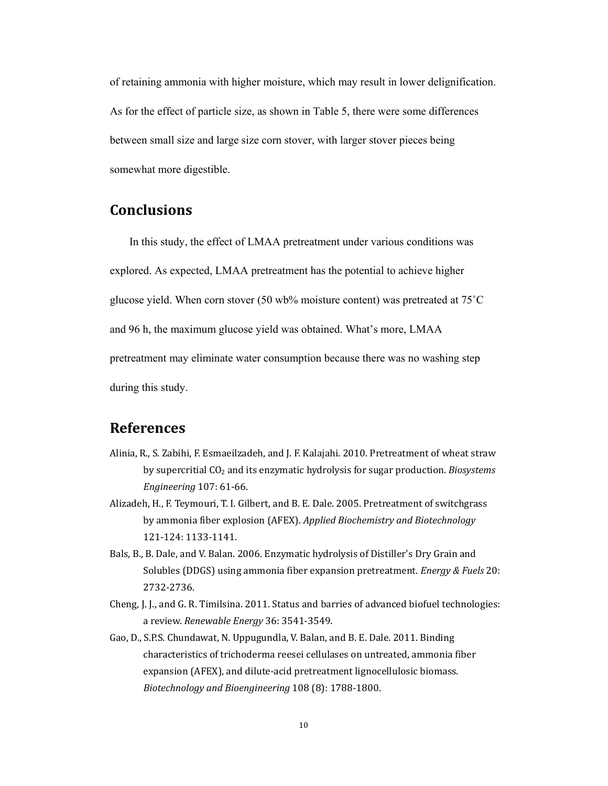of retaining ammonia with higher moisture, which may result in lower delignification. As for the effect of particle size, as shown in Table 5, there were some differences between small size and large size corn stover, with larger stover pieces being somewhat more digestible.

# **Conclusions**

In this study, the effect of LMAA pretreatment under various conditions was explored. As expected, LMAA pretreatment has the potential to achieve higher glucose yield. When corn stover (50 wb% moisture content) was pretreated at  $75^{\circ}$ C and 96 h, the maximum glucose yield was obtained. What's more, LMAA pretreatment may eliminate water consumption because there was no washing step during this study.

# **References**

- Alinia, R., S. Zabihi, F. Esmaeilzadeh, and J. F. Kalajahi. 2010. Pretreatment of wheat straw by supercritial  $CO<sub>2</sub>$  and its enzymatic hydrolysis for sugar production. *Biosystems Engineering* 107: 61‐66.
- Alizadeh, H., F. Teymouri, T. I. Gilbert, and B. E. Dale. 2005. Pretreatment of switchgrass by ammonia fiber explosion (AFEX). *Applied Biochemistry and Biotechnology* 121‐124: 1133‐1141.
- Bals, B., B. Dale, and V. Balan. 2006. Enzymatic hydrolysis of Distiller's Dry Grain and Solubles (DDGS) using ammonia fiber expansion pretreatment. *Energy & Fuels* 20: 2732‐2736.
- Cheng, J. J., and G. R. Timilsina. 2011. Status and barries of advanced biofuel technologies: a review. *Renewable Energy* 36: 3541‐3549.
- Gao, D., S.P.S. Chundawat, N. Uppugundla, V. Balan, and B. E. Dale. 2011. Binding characteristics of trichoderma reesei cellulases on untreated, ammonia fiber expansion (AFEX), and dilute-acid pretreatment lignocellulosic biomass. *Biotechnology and Bioengineering* 108 (8): 1788‐1800.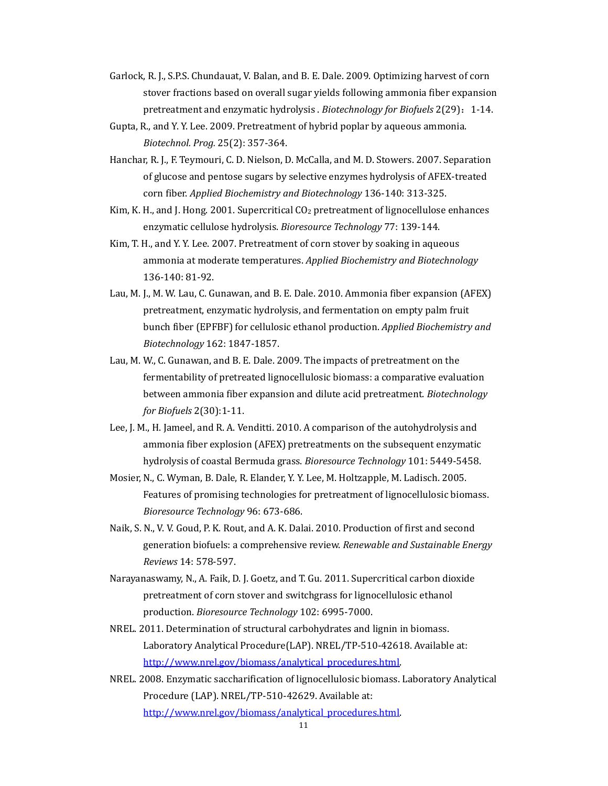- Garlock, R. J., S.P.S. Chundauat, V. Balan, and B. E. Dale. 2009. Optimizing harvest of corn stover fractions based on overall sugar yields following ammonia fiber expansion pretreatment and enzymatic hydrolysis . *Biotechnology for Biofuels* 2(29): 1-14.
- Gupta, R., and Y. Y. Lee. 2009. Pretreatment of hybrid poplar by aqueous ammonia. *Biotechnol. Prog.* 25(2): 357‐364.
- Hanchar, R. J., F. Teymouri, C. D. Nielson, D. McCalla, and M. D. Stowers. 2007. Separation of glucose and pentose sugars by selective enzymes hydrolysis of AFEX-treated corn fiber. *Applied Biochemistry and Biotechnology* 136‐140: 313‐325.
- Kim, K. H., and J. Hong. 2001. Supercritical  $CO<sub>2</sub>$  pretreatment of lignocellulose enhances enzymatic cellulose hydrolysis. Bioresource *Technology* 77: 139-144.
- Kim, T. H., and Y. Y. Lee. 2007. Pretreatment of corn stover by soaking in aqueous ammonia at moderate temperatures. *Applied Biochemistry and Biotechnology* 136‐140: 81‐92.
- Lau, M. J., M. W. Lau, C. Gunawan, and B. E. Dale. 2010. Ammonia fiber expansion (AFEX) pretreatment, enzymatic hydrolysis, and fermentation on empty palm fruit bunch fiber (EPFBF) for cellulosic ethanol production. *Applied Biochemistry and Biotechnology* 162: 1847‐1857.
- Lau, M. W., C. Gunawan, and B. E. Dale. 2009. The impacts of pretreatment on the fermentability of pretreated lignocellulosic biomass: a comparative evaluation between ammonia fiber expansion and dilute acid pretreatment. *Biotechnology for Biofuels* 2(30):1‐11.
- Lee, J. M., H. Jameel, and R. A. Venditti. 2010. A comparison of the autohydrolysis and ammonia fiber explosion (AFEX) pretreatments on the subsequent enzymatic hydrolysis of coastal Bermuda grass. *Bioresource Technology* 101: 5449-5458.
- Mosier, N., C. Wyman, B. Dale, R. Elander, Y. Y. Lee, M. Holtzapple, M. Ladisch. 2005. Features of promising technologies for pretreatment of lignocellulosic biomass. *Bioresource Technology* 96: 673‐686.
- Naik, S. N., V. V. Goud, P. K. Rout, and A. K. Dalai. 2010. Production of first and second generation biofuels: a comprehensive review. *Renewable and Sustainable Energy Reviews* 14: 578‐597.
- Narayanaswamy, N., A. Faik, D. J. Goetz, and T. Gu. 2011. Supercritical carbon dioxide pretreatment of corn stover and switchgrass for lignocellulosic ethanol production. *Bioresource Technology* 102: 6995‐7000.
- NREL. 2011. Determination of structural carbohydrates and lignin in biomass. Laboratory Analytical Procedure(LAP). NREL/TP-510-42618. Available at: http://www.nrel.gov/biomass/analytical\_procedures.html.
- NREL. 2008. Enzymatic saccharification of lignocellulosic biomass. Laboratory Analytical Procedure (LAP). NREL/TP-510-42629. Available at: http://www.nrel.gov/biomass/analytical\_procedures.html.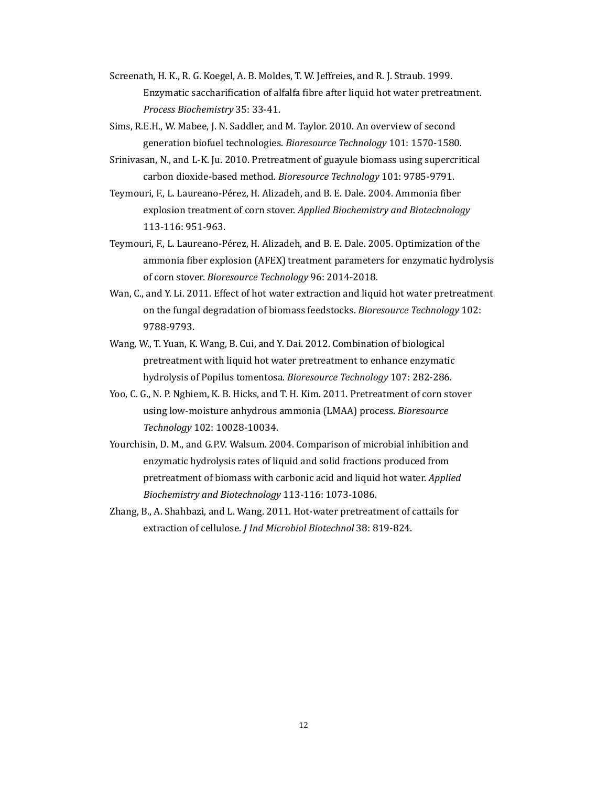- Screenath, H. K., R. G. Koegel, A. B. Moldes, T. W. Jeffreies, and R. J. Straub. 1999. Enzymatic saccharification of alfalfa fibre after liquid hot water pretreatment. *Process Biochemistry* 35: 33‐41.
- Sims, R.E.H., W. Mabee, J. N. Saddler, and M. Taylor. 2010. An overview of second generation biofuel technologies. *Bioresource Technology* 101: 1570-1580.
- Srinivasan, N., and L-K. Ju. 2010. Pretreatment of guayule biomass using supercritical carbon dioxide-based method. *Bioresource Technology* 101: 9785-9791.
- Teymouri, F., L. Laureano-Pérez, H. Alizadeh, and B. E. Dale. 2004. Ammonia fiber explosion treatment of corn stover. *Applied Biochemistry and Biotechnology* 113‐116: 951‐963.
- Teymouri, F., L. Laureano-Pérez, H. Alizadeh, and B. E. Dale. 2005. Optimization of the ammonia fiber explosion (AFEX) treatment parameters for enzymatic hydrolysis of corn stover. *Bioresource Technology* 96: 2014-2018.
- Wan, C., and Y. Li. 2011. Effect of hot water extraction and liquid hot water pretreatment on the fungal degradation of biomass feedstocks. *Bioresource Technology* 102: 9788‐9793.
- Wang, W., T. Yuan, K. Wang, B. Cui, and Y. Dai. 2012. Combination of biological pretreatment with liquid hot water pretreatment to enhance enzymatic hydrolysis of Popilus tomentosa. *Bioresource Technology* 107: 282-286.
- Yoo, C. G., N. P. Nghiem, K. B. Hicks, and T. H. Kim. 2011. Pretreatment of corn stover using low-moisture anhydrous ammonia (LMAA) process. *Bioresource Technology* 102: 10028‐10034.
- Yourchisin, D. M., and G.P.V. Walsum. 2004. Comparison of microbial inhibition and enzymatic hydrolysis rates of liquid and solid fractions produced from pretreatment of biomass with carbonic acid and liquid hot water. *Applied Biochemistry and Biotechnology* 113‐116: 1073‐1086.
- Zhang, B., A. Shahbazi, and L. Wang. 2011. Hot-water pretreatment of cattails for extraction of cellulose. *J Ind Microbiol Biotechnol* 38: 819-824.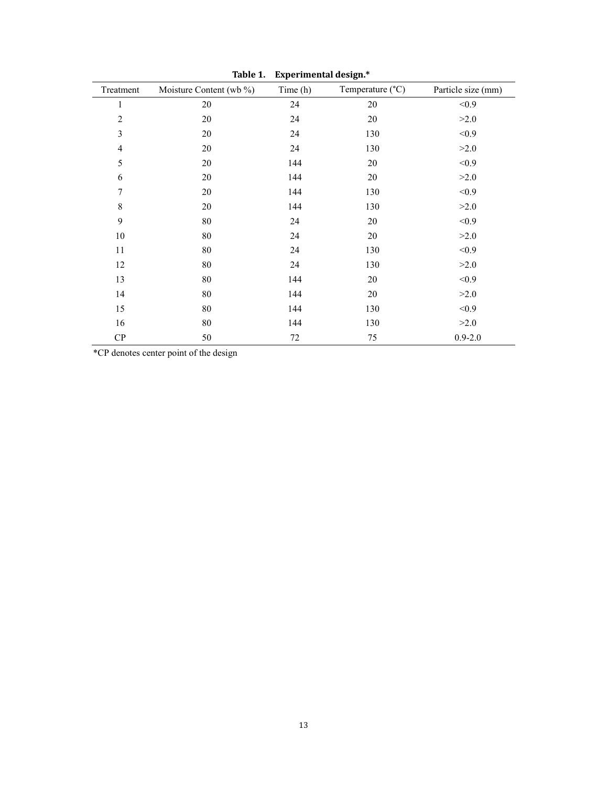| Treatment      | Moisture Content (wb %) | Time (h) | Temperature (°C) | Particle size (mm) |
|----------------|-------------------------|----------|------------------|--------------------|
| 1              | 20                      | 24       | $20\,$           | < 0.9              |
| $\overline{c}$ | 20                      | 24       | 20               | >2.0               |
| 3              | 20                      | 24       | 130              | < 0.9              |
| $\overline{4}$ | 20                      | 24       | 130              | >2.0               |
| 5              | 20                      | 144      | 20               | < 0.9              |
| 6              | 20                      | 144      | $20\,$           | >2.0               |
| 7              | 20                      | 144      | 130              | < 0.9              |
| 8              | 20                      | 144      | 130              | >2.0               |
| 9              | 80                      | 24       | 20               | < 0.9              |
| 10             | 80                      | 24       | $20\,$           | >2.0               |
| 11             | 80                      | 24       | 130              | < 0.9              |
| 12             | 80                      | 24       | 130              | >2.0               |
| 13             | 80                      | 144      | 20               | < 0.9              |
| 14             | 80                      | 144      | 20               | >2.0               |
| 15             | 80                      | 144      | 130              | < 0.9              |
| 16             | 80                      | 144      | 130              | >2.0               |
| CP             | 50                      | 72       | 75               | $0.9 - 2.0$        |

**Table 1. Experimental design.\***

\*CP denotes center point of the design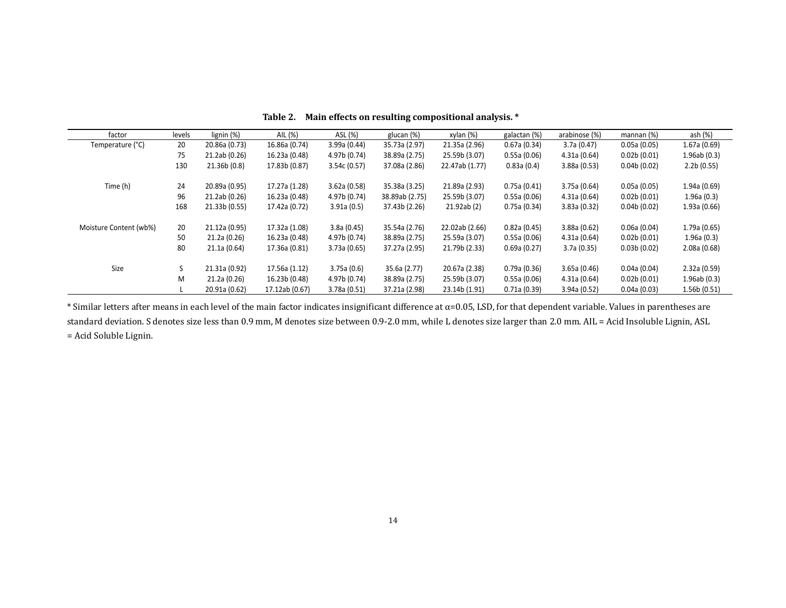| factor                 | levels | lignin (%)    | AIL (%)        | ASL (%)      | glucan (%)     | xylan (%)      | galactan (%) | arabinose (%) | mannan (%)  | ash (%)     |
|------------------------|--------|---------------|----------------|--------------|----------------|----------------|--------------|---------------|-------------|-------------|
| Temperature (°C)       | 20     | 20.86a (0.73) | 16.86a (0.74)  | 3.99a(0.44)  | 35.73a (2.97)  | 21.35a (2.96)  | 0.67a(0.34)  | 3.7a(0.47)    | 0.05a(0.05) | 1.67a(0.69) |
|                        | 75     | 21.2ab (0.26) | 16.23a (0.48)  | 4.97b (0.74) | 38.89a (2.75)  | 25.59b (3.07)  | 0.55a(0.06)  | 4.31a(0.64)   | 0.02b(0.01) | 1.96ab(0.3) |
|                        | 130    | 21.36b(0.8)   | 17.83b (0.87)  | 3.54c(0.57)  | 37.08a (2.86)  | 22.47ab (1.77) | 0.83a(0.4)   | 3.88a(0.53)   | 0.04b(0.02) | 2.2b(0.55)  |
| Time (h)               | 24     | 20.89a (0.95) | 17.27a (1.28)  | 3.62a(0.58)  | 35.38a (3.25)  | 21.89a (2.93)  | 0.75a(0.41)  | 3.75a(0.64)   | 0.05a(0.05) | 1.94a(0.69) |
|                        | 96     | 21.2ab (0.26) | 16.23a (0.48)  | 4.97b (0.74) | 38.89ab (2.75) | 25.59b (3.07)  | 0.55a(0.06)  | 4.31a (0.64)  | 0.02b(0.01) | 1.96a(0.3)  |
|                        | 168    | 21.33b (0.55) | 17.42a (0.72)  | 3.91a(0.5)   | 37.43b (2.26)  | 21.92ab (2)    | 0.75a(0.34)  | 3.83a(0.32)   | 0.04b(0.02) | 1.93a(0.66) |
| Moisture Content (wb%) | 20     | 21.12a (0.95) | 17.32a (1.08)  | 3.8a(0.45)   | 35.54a (2.76)  | 22.02ab (2.66) | 0.82a(0.45)  | 3.88a(0.62)   | 0.06a(0.04) | 1.79a(0.65) |
|                        | 50     | 21.2a (0.26)  | 16.23a (0.48)  | 4.97b (0.74) | 38.89a (2.75)  | 25.59a (3.07)  | 0.55a(0.06)  | 4.31a(0.64)   | 0.02b(0.01) | 1.96a(0.3)  |
|                        | 80     | 21.1a(0.64)   | 17.36a (0.81)  | 3.73a(0.65)  | 37.27a (2.95)  | 21.79b (2.33)  | 0.69a(0.27)  | 3.7a(0.35)    | 0.03b(0.02) | 2.08a(0.68) |
| Size                   | S      | 21.31a (0.92) | 17.56a (1.12)  | 3.75a(0.6)   | 35.6a (2.77)   | 20.67a (2.38)  | 0.79a(0.36)  | 3.65a(0.46)   | 0.04a(0.04) | 2.32a(0.59) |
|                        | M      | 21.2a (0.26)  | 16.23b (0.48)  | 4.97b (0.74) | 38.89a (2.75)  | 25.59b (3.07)  | 0.55a(0.06)  | 4.31a(0.64)   | 0.02b(0.01) | 1.96ab(0.3) |
|                        |        | 20.91a (0.62) | 17.12ab (0.67) | 3.78a (0.51) | 37.21a (2.98)  | 23.14b (1.91)  | 0.71a(0.39)  | 3.94a(0.52)   | 0.04a(0.03) | 1.56b(0.51) |

**Table 2. Main effects on resulting compositional analysis. \***

\* Similar letters after means in each level of the main factor indicates insignificant difference at α=0.05, LSD, for that dependent variable. Values in parentheses are standard deviation. S denotes size less than 0.9 mm, M denotes size between 0.9-2.0 mm, while L denotes size larger than 2.0 mm. AIL = Acid Insoluble Lignin, ASL = Acid Soluble Lignin.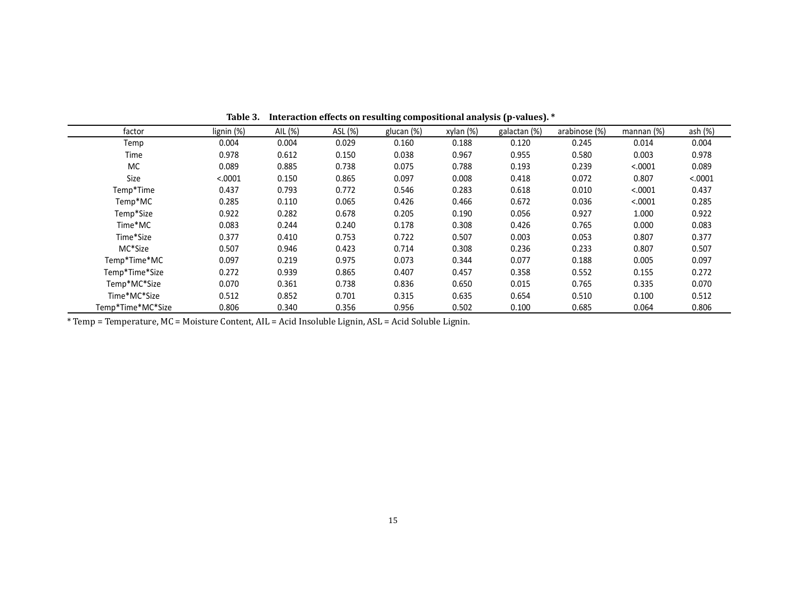| factor            | lignin (%) | AIL (%) | ASL (%) | glucan (%) | xylan (%) | galactan (%) | arabinose (%) | mannan $(%)$ | ash (%) |
|-------------------|------------|---------|---------|------------|-----------|--------------|---------------|--------------|---------|
| Temp              | 0.004      | 0.004   | 0.029   | 0.160      | 0.188     | 0.120        | 0.245         | 0.014        | 0.004   |
| Time              | 0.978      | 0.612   | 0.150   | 0.038      | 0.967     | 0.955        | 0.580         | 0.003        | 0.978   |
| МC                | 0.089      | 0.885   | 0.738   | 0.075      | 0.788     | 0.193        | 0.239         | < .0001      | 0.089   |
| Size              | < .0001    | 0.150   | 0.865   | 0.097      | 0.008     | 0.418        | 0.072         | 0.807        | < .0001 |
| Temp*Time         | 0.437      | 0.793   | 0.772   | 0.546      | 0.283     | 0.618        | 0.010         | < .0001      | 0.437   |
| Temp*MC           | 0.285      | 0.110   | 0.065   | 0.426      | 0.466     | 0.672        | 0.036         | < .0001      | 0.285   |
| Temp*Size         | 0.922      | 0.282   | 0.678   | 0.205      | 0.190     | 0.056        | 0.927         | 1.000        | 0.922   |
| Time*MC           | 0.083      | 0.244   | 0.240   | 0.178      | 0.308     | 0.426        | 0.765         | 0.000        | 0.083   |
| Time*Size         | 0.377      | 0.410   | 0.753   | 0.722      | 0.507     | 0.003        | 0.053         | 0.807        | 0.377   |
| MC*Size           | 0.507      | 0.946   | 0.423   | 0.714      | 0.308     | 0.236        | 0.233         | 0.807        | 0.507   |
| Temp*Time*MC      | 0.097      | 0.219   | 0.975   | 0.073      | 0.344     | 0.077        | 0.188         | 0.005        | 0.097   |
| Temp*Time*Size    | 0.272      | 0.939   | 0.865   | 0.407      | 0.457     | 0.358        | 0.552         | 0.155        | 0.272   |
| Temp*MC*Size      | 0.070      | 0.361   | 0.738   | 0.836      | 0.650     | 0.015        | 0.765         | 0.335        | 0.070   |
| Time*MC*Size      | 0.512      | 0.852   | 0.701   | 0.315      | 0.635     | 0.654        | 0.510         | 0.100        | 0.512   |
| Temp*Time*MC*Size | 0.806      | 0.340   | 0.356   | 0.956      | 0.502     | 0.100        | 0.685         | 0.064        | 0.806   |

**Table 3. Interaction effects on resulting compositional analysis (p‐values). \***

\* Temp = Temperature, MC = Moisture Content, AIL = Acid Insoluble Lignin, ASL = Acid Soluble Lignin.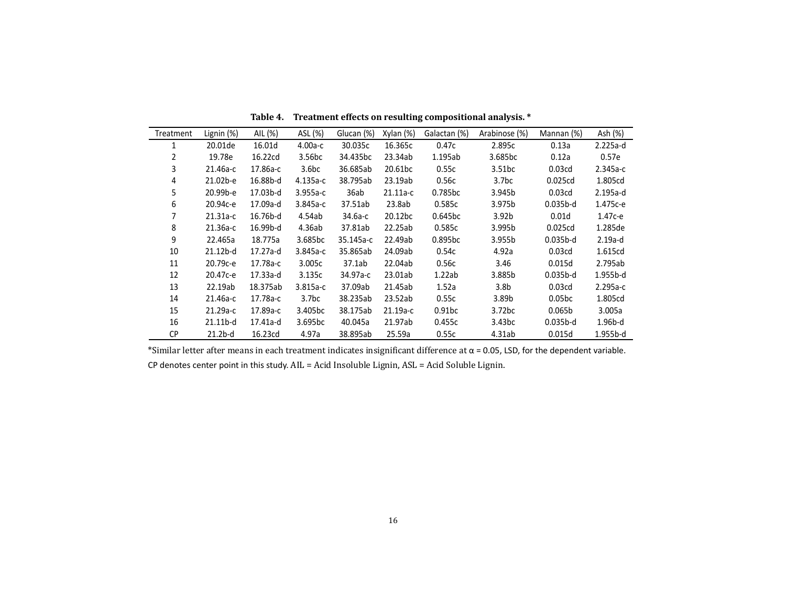| Treatment      | Lignin (%) | AIL (%)  | ASL (%)             | Glucan (%) | Xylan (%)           | Galactan (%)        | Arabinose (%)     | Mannan (%)         | Ash (%)    |
|----------------|------------|----------|---------------------|------------|---------------------|---------------------|-------------------|--------------------|------------|
| 1              | 20.01de    | 16.01d   | $4.00a-c$           | 30.035c    | 16.365c             | 0.47c               | 2.895c            | 0.13a              | $2.225a-d$ |
| $\overline{2}$ | 19.78e     | 16.22cd  | 3.56 <sub>bc</sub>  | 34.435bc   | 23.34ab             | 1.195ab             | 3.685bc           | 0.12a              | 0.57e      |
| 3              | 21.46а-с   | 17.86a-c | 3.6 <sub>b</sub> c  | 36.685ab   | 20.61bc             | 0.55c               | 3.51bc            | 0.03 <sub>cd</sub> | $2.345a-c$ |
| 4              | 21.02b-e   | 16.88b-d | 4.135а-с            | 38.795ab   | 23.19ab             | 0.56c               | 3.7bc             | 0.025cd            | 1.805cd    |
| 5              | 20.99b-e   | 17.03b-d | $3.955a-c$          | 36ab       | 21.11a-c            | 0.785bc             | 3.945b            | 0.03 <sub>cd</sub> | 2.195a-d   |
| 6              | 20.94с-е   | 17.09a-d | $3.845a-c$          | 37.51ab    | 23.8ab              | 0.585c              | 3.975b            | $0.035b-d$         | 1.475с-е   |
|                | $21.31a-c$ | 16.76b-d | 4.54ab              | 34.6а-с    | 20.12 <sub>bc</sub> | 0.645bc             | 3.92 <sub>b</sub> | 0.01d              | $1.47c-e$  |
| 8              | $21.36a-c$ | 16.99b-d | 4.36ab              | 37.81ab    | 22.25ab             | 0.585c              | 3.995b            | 0.025cd            | 1.285de    |
| 9              | 22.465a    | 18.775a  | 3.685bc             | 35.145а-с  | 22.49ab             | 0.895 <sub>bc</sub> | 3.955b            | $0.035b-d$         | $2.19a-d$  |
| 10             | $21.12b-d$ | 17.27a-d | $3.845a-c$          | 35.865ab   | 24.09ab             | 0.54c               | 4.92a             | 0.03 <sub>cd</sub> | 1.615cd    |
| 11             | 20.79с-е   | 17.78a-c | 3.005c              | 37.1ab     | 22.04ab             | 0.56c               | 3.46              | 0.015d             | 2.795ab    |
| 12             | 20.47с-е   | 17.33a-d | 3.135c              | 34.97а-с   | 23.01ab             | 1.22ab              | 3.885b            | $0.035b-d$         | $1.955b-d$ |
| 13             | 22.19ab    | 18.375ab | $3.815a-c$          | 37.09ab    | 21.45ab             | 1.52a               | 3.8 <sub>b</sub>  | 0.03 <sub>cd</sub> | $2.295a-c$ |
| 14             | 21.46а-с   | 17.78a-c | 3.7 <sub>bc</sub>   | 38.235ab   | 23.52ab             | 0.55c               | 3.89b             | 0.05 <sub>bc</sub> | 1.805cd    |
| 15             | 21.29a-c   | 17.89a-c | 3.405 <sub>bc</sub> | 38.175ab   | 21.19a-c            | 0.91 <sub>bc</sub>  | 3.72bc            | 0.065b             | 3.005a     |
| 16             | $21.11b-d$ | 17.41a-d | 3.695 <sub>bc</sub> | 40.045a    | 21.97ab             | 0.455c              | 3.43bc            | $0.035b-d$         | 1.96b-d    |
| СP             | $21.2b-d$  | 16.23cd  | 4.97a               | 38.895ab   | 25.59a              | 0.55c               | 4.31ab            | 0.015d             | 1.955b-d   |

**Table 4. Treatment effects on resulting compositional analysis. \***

\*Similar letter after means in each treatment indicates insignificant difference at  $\alpha$  = 0.05, LSD, for the dependent variable. <code>CP</code> denotes center point in this study.  $\text{AIL} = \text{Acid}$  Insoluble <code>Lignin,</code>  $\text{ASL} = \text{Acid}$  Soluble <code>Lignin.</code>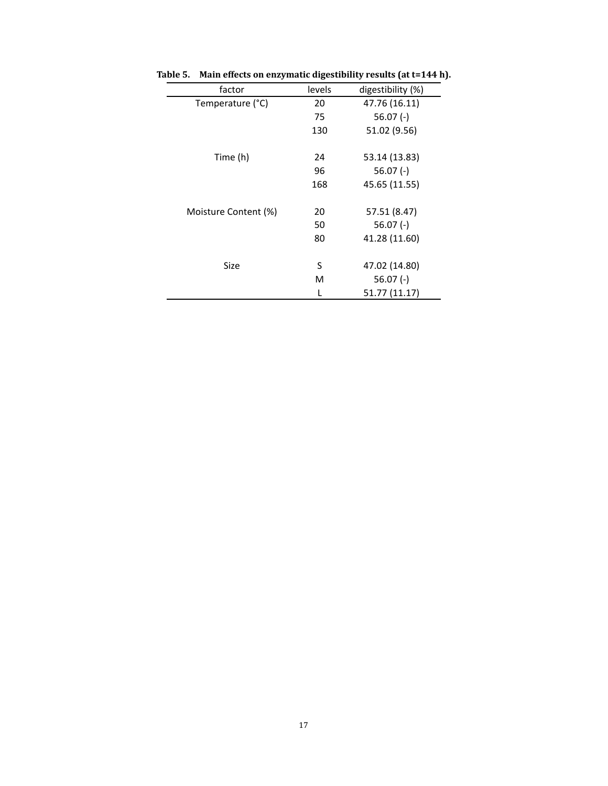| factor               | levels | digestibility (%) |
|----------------------|--------|-------------------|
| Temperature (°C)     | 20     | 47.76 (16.11)     |
|                      | 75     | $56.07(-)$        |
|                      | 130    | 51.02 (9.56)      |
|                      |        |                   |
| Time (h)             | 24     | 53.14 (13.83)     |
|                      | 96     | $56.07$ (-)       |
|                      | 168    | 45.65 (11.55)     |
|                      |        |                   |
| Moisture Content (%) | 20     | 57.51 (8.47)      |
|                      | 50     | $56.07(-)$        |
|                      | 80     | 41.28 (11.60)     |
|                      |        |                   |
| Size                 | S      | 47.02 (14.80)     |
|                      | м      | $56.07(-)$        |
|                      |        | 51.77 (11.17)     |

**Table 5. Main effects on enzymatic digestibility results (at t=144 h).**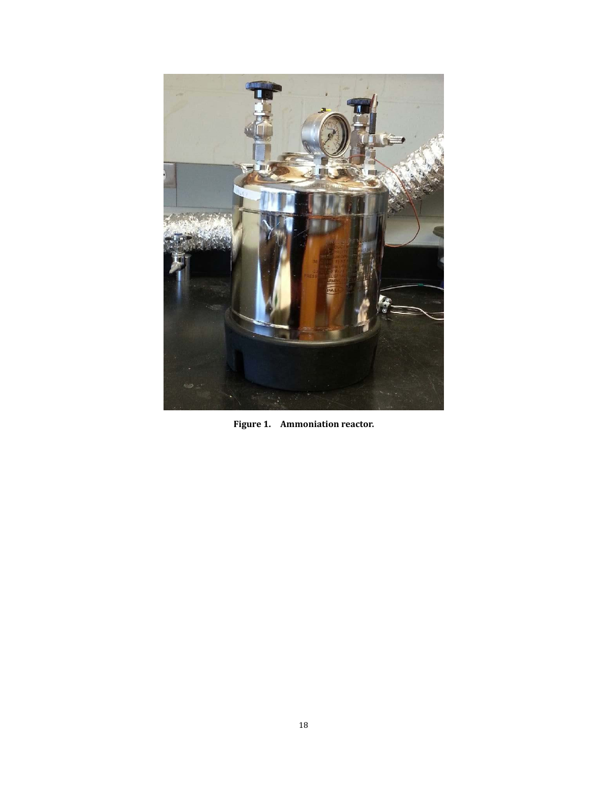

**Figure 1. Ammoniation reactor.**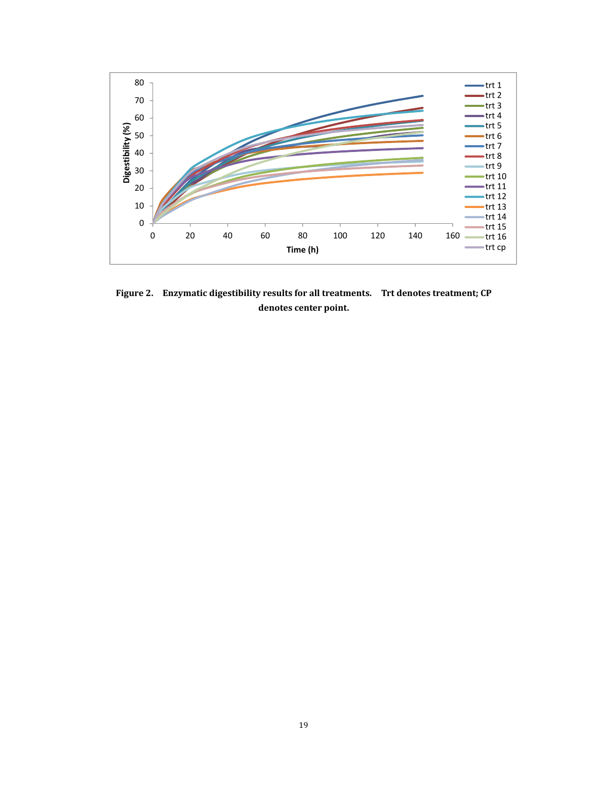

**Figure 2. Enzymatic digestibility results for all treatments. Trt denotes treatment; CP denotes center point.**